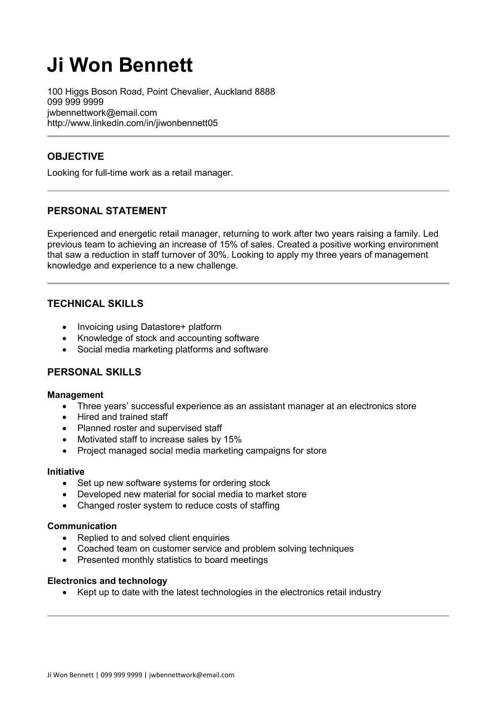# **Ji Won Bennett**

100 Higgs Boson Road, Point Chevalier, Auckland 8888 099 999 9999 jwbennettwork@email.com http://www.linkedin.com/in/jiwonbennett05

# **OBJECTIVE**

Looking for full-time work as a retail manager.

# **PERSONAL STATEMENT**

Experienced and energetic retail manager, returning to work after two years raising a family. Led previous team to achieving an increase of 15% of sales. Created a positive working environment that saw a reduction in staff turnover of 30%. Looking to apply my three years of management knowledge and experience to a new challenge.

# **TECHNICAL SKILLS**

- Invoicing using Datastore+ platform
- Knowledge of stock and accounting software
- Social media marketing platforms and software

# **PERSONAL SKILLS**

#### **Management**

- Three years' successful experience as an assistant manager at an electronics store
- Hired and trained staff
- Planned roster and supervised staff
- Motivated staff to increase sales by 15%
- Project managed social media marketing campaigns for store

#### **Initiative**

- Set up new software systems for ordering stock
- Developed new material for social media to market store
- Changed roster system to reduce costs of staffing

#### **Communication**

- Replied to and solved client enquiries
- Coached team on customer service and problem solving techniques
- Presented monthly statistics to board meetings

#### **Electronics and technology**

• Kept up to date with the latest technologies in the electronics retail industry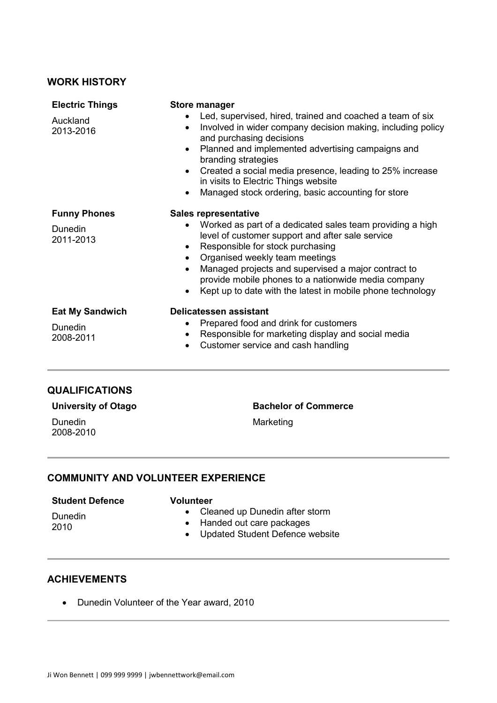## **WORK HISTORY**

| <b>Electric Things</b><br>Auckland<br>2013-2016    | <b>Store manager</b><br>Led, supervised, hired, trained and coached a team of six<br>Involved in wider company decision making, including policy                                                                                                                                                                                                                                               |
|----------------------------------------------------|------------------------------------------------------------------------------------------------------------------------------------------------------------------------------------------------------------------------------------------------------------------------------------------------------------------------------------------------------------------------------------------------|
|                                                    | and purchasing decisions<br>Planned and implemented advertising campaigns and<br>$\bullet$<br>branding strategies                                                                                                                                                                                                                                                                              |
|                                                    | Created a social media presence, leading to 25% increase<br>$\bullet$<br>in visits to Electric Things website<br>Managed stock ordering, basic accounting for store                                                                                                                                                                                                                            |
| <b>Funny Phones</b><br><b>Dunedin</b><br>2011-2013 | <b>Sales representative</b><br>Worked as part of a dedicated sales team providing a high<br>level of customer support and after sale service<br>Responsible for stock purchasing<br>Organised weekly team meetings<br>Managed projects and supervised a major contract to<br>provide mobile phones to a nationwide media company<br>Kept up to date with the latest in mobile phone technology |
| <b>Eat My Sandwich</b><br>Dunedin<br>2008-2011     | Delicatessen assistant<br>Prepared food and drink for customers<br>Responsible for marketing display and social media<br>Customer service and cash handling                                                                                                                                                                                                                                    |

## **QUALIFICATIONS**

| <b>University of Otago</b> |  |
|----------------------------|--|
|----------------------------|--|

Dunedin 2008-2010 **Bachelor of Commerce**

Marketing

## **COMMUNITY AND VOLUNTEER EXPERIENCE**

## **Student Defence**

#### **Volunteer**

• Cleaned up Dunedin after storm

Dunedin 2010

- Handed out care packages
- Updated Student Defence website

### **ACHIEVEMENTS**

• Dunedin Volunteer of the Year award, 2010